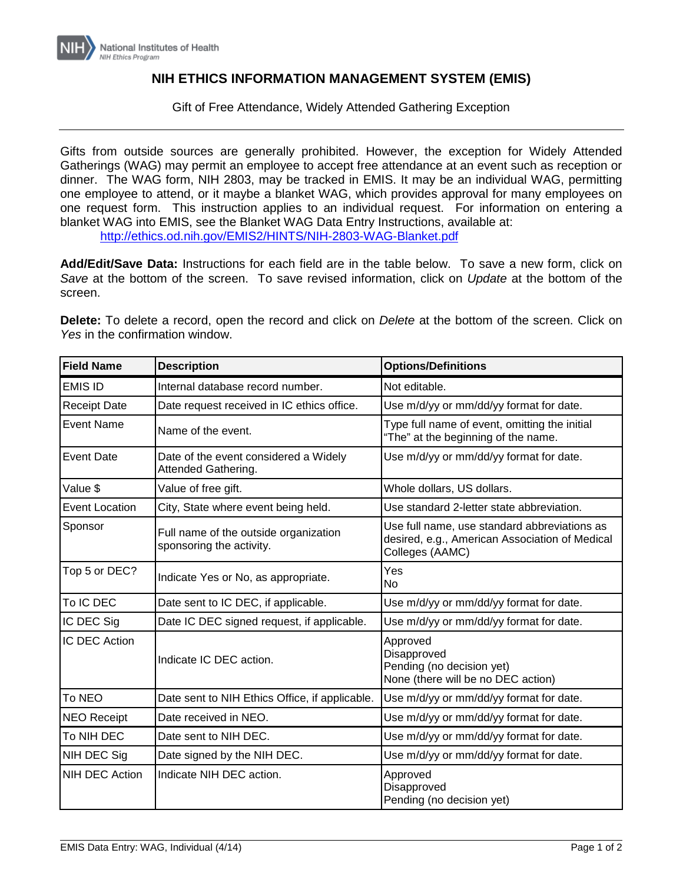

## **NIH ETHICS INFORMATION MANAGEMENT SYSTEM (EMIS)**

Gift of Free Attendance, Widely Attended Gathering Exception

Gifts from outside sources are generally prohibited. However, the exception for Widely Attended Gatherings (WAG) may permit an employee to accept free attendance at an event such as reception or dinner. The WAG form, NIH 2803, may be tracked in EMIS. It may be an individual WAG, permitting one employee to attend, or it maybe a blanket WAG, which provides approval for many employees on one request form. This instruction applies to an individual request. For information on entering a blanket WAG into EMIS, see the Blanket WAG Data Entry Instructions, available at: <http://ethics.od.nih.gov/EMIS2/HINTS/NIH-2803-WAG-Blanket.pdf>

**Add/Edit/Save Data:** Instructions for each field are in the table below. To save a new form, click on *Save* at the bottom of the screen. To save revised information, click on *Update* at the bottom of the screen.

**Delete:** To delete a record, open the record and click on *Delete* at the bottom of the screen. Click on *Yes* in the confirmation window.

| <b>Field Name</b>     | <b>Description</b>                                                | <b>Options/Definitions</b>                                                                                        |
|-----------------------|-------------------------------------------------------------------|-------------------------------------------------------------------------------------------------------------------|
| <b>EMIS ID</b>        | Internal database record number.                                  | Not editable.                                                                                                     |
| <b>Receipt Date</b>   | Date request received in IC ethics office.                        | Use m/d/yy or mm/dd/yy format for date.                                                                           |
| <b>Event Name</b>     | Name of the event.                                                | Type full name of event, omitting the initial<br>"The" at the beginning of the name.                              |
| <b>Event Date</b>     | Date of the event considered a Widely<br>Attended Gathering.      | Use m/d/yy or mm/dd/yy format for date.                                                                           |
| Value \$              | Value of free gift.                                               | Whole dollars, US dollars.                                                                                        |
| <b>Event Location</b> | City, State where event being held.                               | Use standard 2-letter state abbreviation.                                                                         |
| Sponsor               | Full name of the outside organization<br>sponsoring the activity. | Use full name, use standard abbreviations as<br>desired, e.g., American Association of Medical<br>Colleges (AAMC) |
| Top 5 or DEC?         | Indicate Yes or No, as appropriate.                               | Yes<br>No                                                                                                         |
| To IC DEC             | Date sent to IC DEC, if applicable.                               | Use m/d/yy or mm/dd/yy format for date.                                                                           |
| IC DEC Sig            | Date IC DEC signed request, if applicable.                        | Use m/d/yy or mm/dd/yy format for date.                                                                           |
| IC DEC Action         | Indicate IC DEC action.                                           | Approved<br>Disapproved<br>Pending (no decision yet)<br>None (there will be no DEC action)                        |
| To NEO                | Date sent to NIH Ethics Office, if applicable.                    | Use m/d/yy or mm/dd/yy format for date.                                                                           |
| <b>NEO Receipt</b>    | Date received in NEO.                                             | Use m/d/yy or mm/dd/yy format for date.                                                                           |
| To NIH DEC            | Date sent to NIH DEC.                                             | Use m/d/yy or mm/dd/yy format for date.                                                                           |
| NIH DEC Sig           | Date signed by the NIH DEC.                                       | Use m/d/yy or mm/dd/yy format for date.                                                                           |
| <b>NIH DEC Action</b> | Indicate NIH DEC action.                                          | Approved<br>Disapproved<br>Pending (no decision yet)                                                              |